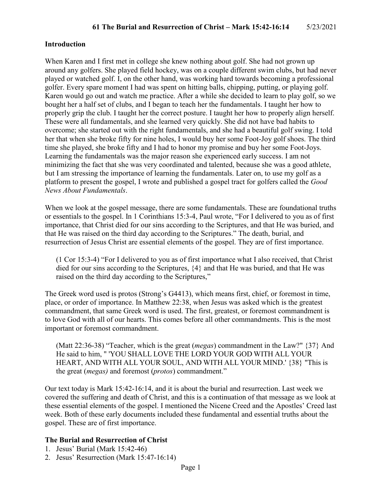### **Introduction**

When Karen and I first met in college she knew nothing about golf. She had not grown up around any golfers. She played field hockey, was on a couple different swim clubs, but had never played or watched golf. I, on the other hand, was working hard towards becoming a professional golfer. Every spare moment I had was spent on hitting balls, chipping, putting, or playing golf. Karen would go out and watch me practice. After a while she decided to learn to play golf, so we bought her a half set of clubs, and I began to teach her the fundamentals. I taught her how to properly grip the club. I taught her the correct posture. I taught her how to properly align herself. These were all fundamentals, and she learned very quickly. She did not have bad habits to overcome; she started out with the right fundamentals, and she had a beautiful golf swing. I told her that when she broke fifty for nine holes, I would buy her some Foot-Joy golf shoes. The third time she played, she broke fifty and I had to honor my promise and buy her some Foot-Joys. Learning the fundamentals was the major reason she experienced early success. I am not minimizing the fact that she was very coordinated and talented, because she was a good athlete, but I am stressing the importance of learning the fundamentals. Later on, to use my golf as a platform to present the gospel, I wrote and published a gospel tract for golfers called the *Good News About Fundamentals*.

When we look at the gospel message, there are some fundamentals. These are foundational truths or essentials to the gospel. In 1 Corinthians 15:3-4, Paul wrote, "For I delivered to you as of first importance, that Christ died for our sins according to the Scriptures, and that He was buried, and that He was raised on the third day according to the Scriptures." The death, burial, and resurrection of Jesus Christ are essential elements of the gospel. They are of first importance.

(1 Cor 15:3-4) "For I delivered to you as of first importance what I also received, that Christ died for our sins according to the Scriptures, {4} and that He was buried, and that He was raised on the third day according to the Scriptures,"

The Greek word used is protos (Strong's G4413), which means first, chief, or foremost in time, place, or order of importance. In Matthew 22:38, when Jesus was asked which is the greatest commandment, that same Greek word is used. The first, greatest, or foremost commandment is to love God with all of our hearts. This comes before all other commandments. This is the most important or foremost commandment.

(Matt 22:36-38) "Teacher, which is the great (*megas*) commandment in the Law?" {37} And He said to him, " 'YOU SHALL LOVE THE LORD YOUR GOD WITH ALL YOUR HEART, AND WITH ALL YOUR SOUL, AND WITH ALL YOUR MIND.' {38} "This is the great (*megas)* and foremost (*protos*) commandment."

Our text today is Mark 15:42-16:14, and it is about the burial and resurrection. Last week we covered the suffering and death of Christ, and this is a continuation of that message as we look at these essential elements of the gospel. I mentioned the Nicene Creed and the Apostles' Creed last week. Both of these early documents included these fundamental and essential truths about the gospel. These are of first importance.

#### **The Burial and Resurrection of Christ**

- 1. Jesus' Burial (Mark 15:42-46)
- 2. Jesus' Resurrection (Mark 15:47-16:14)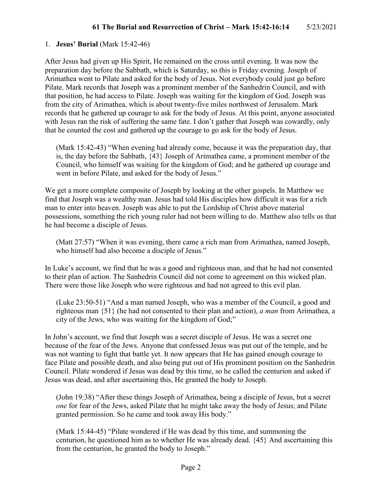### 1. **Jesus' Burial** (Mark 15:42-46)

After Jesus had given up His Spirit, He remained on the cross until evening. It was now the preparation day before the Sabbath, which is Saturday, so this is Friday evening. Joseph of Arimathea went to Pilate and asked for the body of Jesus. Not everybody could just go before Pilate. Mark records that Joseph was a prominent member of the Sanhedrin Council, and with that position, he had access to Pilate. Joseph was waiting for the kingdom of God. Joseph was from the city of Arimathea, which is about twenty-five miles northwest of Jerusalem. Mark records that he gathered up courage to ask for the body of Jesus. At this point, anyone associated with Jesus ran the risk of suffering the same fate. I don't gather that Joseph was cowardly, only that he counted the cost and gathered up the courage to go ask for the body of Jesus.

(Mark 15:42-43) "When evening had already come, because it was the preparation day, that is, the day before the Sabbath, {43} Joseph of Arimathea came, a prominent member of the Council, who himself was waiting for the kingdom of God; and he gathered up courage and went in before Pilate, and asked for the body of Jesus."

We get a more complete composite of Joseph by looking at the other gospels. In Matthew we find that Joseph was a wealthy man. Jesus had told His disciples how difficult it was for a rich man to enter into heaven. Joseph was able to put the Lordship of Christ above material possessions, something the rich young ruler had not been willing to do. Matthew also tells us that he had become a disciple of Jesus.

(Matt 27:57) "When it was evening, there came a rich man from Arimathea, named Joseph, who himself had also become a disciple of Jesus*.*"

In Luke's account, we find that he was a good and righteous man, and that he had not consented to their plan of action. The Sanhedrin Council did not come to agreement on this wicked plan. There were those like Joseph who were righteous and had not agreed to this evil plan.

(Luke 23:50-51) "And a man named Joseph, who was a member of the Council, a good and righteous man {51} (he had not consented to their plan and action), *a man* from Arimathea, a city of the Jews, who was waiting for the kingdom of God;"

In John's account, we find that Joseph was a secret disciple of Jesus. He was a secret one because of the fear of the Jews. Anyone that confessed Jesus was put out of the temple, and he was not wanting to fight that battle yet. It now appears that He has gained enough courage to face Pilate and possible death, and also being put out of His prominent position on the Sanhedrin Council. Pilate wondered if Jesus was dead by this time, so he called the centurion and asked if Jesus was dead, and after ascertaining this, He granted the body to Joseph.

(John 19:38) "After these things Joseph of Arimathea, being a disciple of Jesus, but a secret *one* for fear of the Jews, asked Pilate that he might take away the body of Jesus; and Pilate granted permission. So he came and took away His body."

(Mark 15:44-45) "Pilate wondered if He was dead by this time, and summoning the centurion, he questioned him as to whether He was already dead. {45} And ascertaining this from the centurion, he granted the body to Joseph."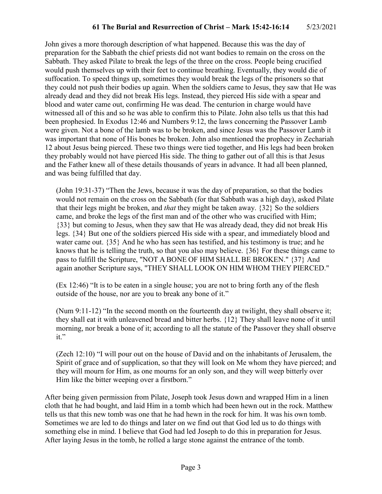John gives a more thorough description of what happened. Because this was the day of preparation for the Sabbath the chief priests did not want bodies to remain on the cross on the Sabbath. They asked Pilate to break the legs of the three on the cross. People being crucified would push themselves up with their feet to continue breathing. Eventually, they would die of suffocation. To speed things up, sometimes they would break the legs of the prisoners so that they could not push their bodies up again. When the soldiers came to Jesus, they saw that He was already dead and they did not break His legs. Instead, they pierced His side with a spear and blood and water came out, confirming He was dead. The centurion in charge would have witnessed all of this and so he was able to confirm this to Pilate. John also tells us that this had been prophesied. In Exodus 12:46 and Numbers 9:12, the laws concerning the Passover Lamb were given. Not a bone of the lamb was to be broken, and since Jesus was the Passover Lamb it was important that none of His bones be broken. John also mentioned the prophecy in Zechariah 12 about Jesus being pierced. These two things were tied together, and His legs had been broken they probably would not have pierced His side. The thing to gather out of all this is that Jesus and the Father knew all of these details thousands of years in advance. It had all been planned, and was being fulfilled that day.

(John 19:31-37) "Then the Jews, because it was the day of preparation, so that the bodies would not remain on the cross on the Sabbath (for that Sabbath was a high day), asked Pilate that their legs might be broken, and *that* they might be taken away. {32} So the soldiers came, and broke the legs of the first man and of the other who was crucified with Him; {33} but coming to Jesus, when they saw that He was already dead, they did not break His legs. {34} But one of the soldiers pierced His side with a spear, and immediately blood and water came out. {35} And he who has seen has testified, and his testimony is true; and he knows that he is telling the truth, so that you also may believe.  $\{36\}$  For these things came to pass to fulfill the Scripture, "NOT A BONE OF HIM SHALL BE BROKEN." {37} And again another Scripture says, "THEY SHALL LOOK ON HIM WHOM THEY PIERCED."

(Ex 12:46) "It is to be eaten in a single house; you are not to bring forth any of the flesh outside of the house, nor are you to break any bone of it."

(Num 9:11-12) "In the second month on the fourteenth day at twilight, they shall observe it; they shall eat it with unleavened bread and bitter herbs. {12} They shall leave none of it until morning, nor break a bone of it; according to all the statute of the Passover they shall observe it."

(Zech 12:10) "I will pour out on the house of David and on the inhabitants of Jerusalem, the Spirit of grace and of supplication, so that they will look on Me whom they have pierced; and they will mourn for Him, as one mourns for an only son, and they will weep bitterly over Him like the bitter weeping over a firstborn."

After being given permission from Pilate, Joseph took Jesus down and wrapped Him in a linen cloth that he had bought, and laid Him in a tomb which had been hewn out in the rock. Matthew tells us that this new tomb was one that he had hewn in the rock for him. It was his own tomb. Sometimes we are led to do things and later on we find out that God led us to do things with something else in mind. I believe that God had led Joseph to do this in preparation for Jesus. After laying Jesus in the tomb, he rolled a large stone against the entrance of the tomb.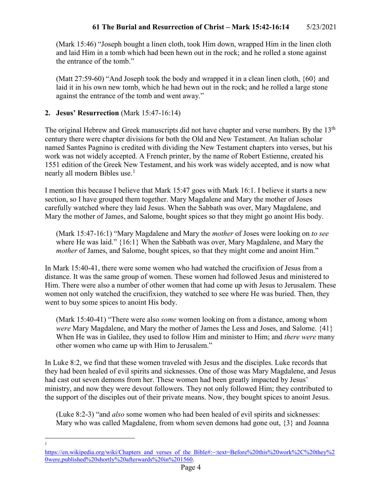(Mark 15:46) "Joseph bought a linen cloth, took Him down, wrapped Him in the linen cloth and laid Him in a tomb which had been hewn out in the rock; and he rolled a stone against the entrance of the tomb."

(Matt 27:59-60) "And Joseph took the body and wrapped it in a clean linen cloth, {60} and laid it in his own new tomb, which he had hewn out in the rock; and he rolled a large stone against the entrance of the tomb and went away."

# **2. Jesus' Resurrection** (Mark 15:47-16:14)

The original Hebrew and Greek manuscripts did not have chapter and verse numbers. By the 13<sup>th</sup> century there were chapter divisions for both the Old and New Testament. An Italian scholar named Santes Pagnino is credited with dividing the New Testament chapters into verses, but his work was not widely accepted. A French printer, by the name of Robert Estienne, created his 1551 edition of the Greek New Testament, and his work was widely accepted, and is now what nearly all modern Bibles use.<sup>[1](#page-3-0)</sup>

I mention this because I believe that Mark 15:47 goes with Mark 16:1. I believe it starts a new section, so I have grouped them together. Mary Magdalene and Mary the mother of Joses carefully watched where they laid Jesus. When the Sabbath was over, Mary Magdalene, and Mary the mother of James, and Salome, bought spices so that they might go anoint His body.

(Mark 15:47-16:1) "Mary Magdalene and Mary the *mother* of Joses were looking on *to see* where He was laid." {16:1} When the Sabbath was over, Mary Magdalene, and Mary the *mother* of James, and Salome, bought spices, so that they might come and anoint Him."

In Mark 15:40-41, there were some women who had watched the crucifixion of Jesus from a distance. It was the same group of women. These women had followed Jesus and ministered to Him. There were also a number of other women that had come up with Jesus to Jerusalem. These women not only watched the crucifixion, they watched to see where He was buried. Then, they went to buy some spices to anoint His body.

(Mark 15:40-41) "There were also *some* women looking on from a distance, among whom *were* Mary Magdalene, and Mary the mother of James the Less and Joses, and Salome. {41} When He was in Galilee, they used to follow Him and minister to Him; and *there were* many other women who came up with Him to Jerusalem."

In Luke 8:2, we find that these women traveled with Jesus and the disciples. Luke records that they had been healed of evil spirits and sicknesses. One of those was Mary Magdalene, and Jesus had cast out seven demons from her. These women had been greatly impacted by Jesus' ministry, and now they were devout followers. They not only followed Him; they contributed to the support of the disciples out of their private means. Now, they bought spices to anoint Jesus.

(Luke 8:2-3) "and *also* some women who had been healed of evil spirits and sicknesses: Mary who was called Magdalene, from whom seven demons had gone out, {3} and Joanna

 $\frac{1}{1}$ 

<span id="page-3-0"></span>[https://en.wikipedia.org/wiki/Chapters\\_and\\_verses\\_of\\_the\\_Bible#:~:text=Before%20this%20work%2C%20they%2](https://en.wikipedia.org/wiki/Chapters_and_verses_of_the_Bible#:%7E:text=Before%20this%20work%2C%20they%20were,published%20shortly%20afterwards%20in%201560) [0were,published%20shortly%20afterwards%20in%201560.](https://en.wikipedia.org/wiki/Chapters_and_verses_of_the_Bible#:%7E:text=Before%20this%20work%2C%20they%20were,published%20shortly%20afterwards%20in%201560)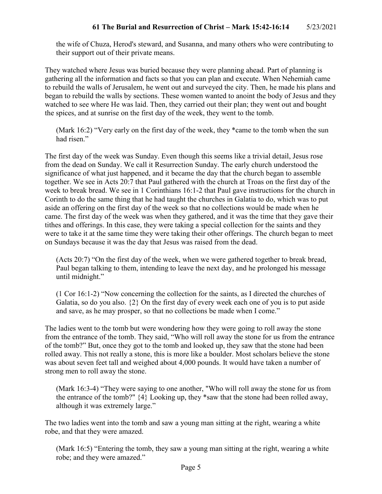the wife of Chuza, Herod's steward, and Susanna, and many others who were contributing to their support out of their private means.

They watched where Jesus was buried because they were planning ahead. Part of planning is gathering all the information and facts so that you can plan and execute. When Nehemiah came to rebuild the walls of Jerusalem, he went out and surveyed the city. Then, he made his plans and began to rebuild the walls by sections. These women wanted to anoint the body of Jesus and they watched to see where He was laid. Then, they carried out their plan; they went out and bought the spices, and at sunrise on the first day of the week, they went to the tomb.

(Mark 16:2) "Very early on the first day of the week, they \*came to the tomb when the sun had risen."

The first day of the week was Sunday. Even though this seems like a trivial detail, Jesus rose from the dead on Sunday. We call it Resurrection Sunday. The early church understood the significance of what just happened, and it became the day that the church began to assemble together. We see in Acts 20:7 that Paul gathered with the church at Troas on the first day of the week to break bread. We see in 1 Corinthians 16:1-2 that Paul gave instructions for the church in Corinth to do the same thing that he had taught the churches in Galatia to do, which was to put aside an offering on the first day of the week so that no collections would be made when he came. The first day of the week was when they gathered, and it was the time that they gave their tithes and offerings. In this case, they were taking a special collection for the saints and they were to take it at the same time they were taking their other offerings. The church began to meet on Sundays because it was the day that Jesus was raised from the dead.

(Acts 20:7) "On the first day of the week, when we were gathered together to break bread, Paul began talking to them, intending to leave the next day, and he prolonged his message until midnight."

(1 Cor 16:1-2) "Now concerning the collection for the saints, as I directed the churches of Galatia, so do you also. {2} On the first day of every week each one of you is to put aside and save, as he may prosper, so that no collections be made when I come."

The ladies went to the tomb but were wondering how they were going to roll away the stone from the entrance of the tomb. They said, "Who will roll away the stone for us from the entrance of the tomb?" But, once they got to the tomb and looked up, they saw that the stone had been rolled away. This not really a stone, this is more like a boulder. Most scholars believe the stone was about seven feet tall and weighed about 4,000 pounds. It would have taken a number of strong men to roll away the stone.

(Mark 16:3-4) "They were saying to one another, "Who will roll away the stone for us from the entrance of the tomb?" {4} Looking up, they \*saw that the stone had been rolled away, although it was extremely large."

The two ladies went into the tomb and saw a young man sitting at the right, wearing a white robe, and that they were amazed.

(Mark 16:5) "Entering the tomb, they saw a young man sitting at the right, wearing a white robe; and they were amazed."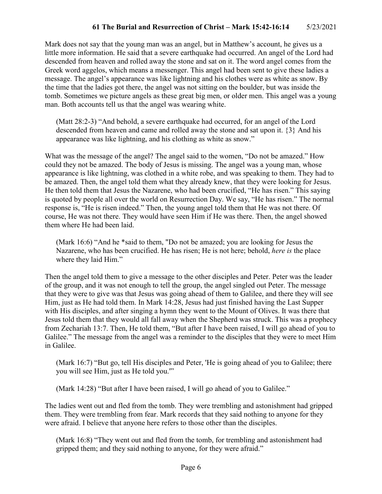Mark does not say that the young man was an angel, but in Matthew's account, he gives us a little more information. He said that a severe earthquake had occurred. An angel of the Lord had descended from heaven and rolled away the stone and sat on it. The word angel comes from the Greek word aggelos, which means a messenger. This angel had been sent to give these ladies a message. The angel's appearance was like lightning and his clothes were as white as snow. By the time that the ladies got there, the angel was not sitting on the boulder, but was inside the tomb. Sometimes we picture angels as these great big men, or older men. This angel was a young man. Both accounts tell us that the angel was wearing white.

(Matt 28:2-3) "And behold, a severe earthquake had occurred, for an angel of the Lord descended from heaven and came and rolled away the stone and sat upon it. {3} And his appearance was like lightning, and his clothing as white as snow."

What was the message of the angel? The angel said to the women, "Do not be amazed." How could they not be amazed. The body of Jesus is missing. The angel was a young man, whose appearance is like lightning, was clothed in a white robe, and was speaking to them. They had to be amazed. Then, the angel told them what they already knew, that they were looking for Jesus. He then told them that Jesus the Nazarene, who had been crucified, "He has risen." This saying is quoted by people all over the world on Resurrection Day. We say, "He has risen." The normal response is, "He is risen indeed." Then, the young angel told them that He was not there. Of course, He was not there. They would have seen Him if He was there. Then, the angel showed them where He had been laid.

(Mark 16:6) "And he \*said to them, "Do not be amazed; you are looking for Jesus the Nazarene, who has been crucified. He has risen; He is not here; behold, *here is* the place where they laid Him."

Then the angel told them to give a message to the other disciples and Peter. Peter was the leader of the group, and it was not enough to tell the group, the angel singled out Peter. The message that they were to give was that Jesus was going ahead of them to Galilee, and there they will see Him, just as He had told them. In Mark 14:28, Jesus had just finished having the Last Supper with His disciples, and after singing a hymn they went to the Mount of Olives. It was there that Jesus told them that they would all fall away when the Shepherd was struck. This was a prophecy from Zechariah 13:7. Then, He told them, "But after I have been raised, I will go ahead of you to Galilee." The message from the angel was a reminder to the disciples that they were to meet Him in Galilee.

(Mark 16:7) "But go, tell His disciples and Peter, 'He is going ahead of you to Galilee; there you will see Him, just as He told you.'"

(Mark 14:28) "But after I have been raised, I will go ahead of you to Galilee."

The ladies went out and fled from the tomb. They were trembling and astonishment had gripped them. They were trembling from fear. Mark records that they said nothing to anyone for they were afraid. I believe that anyone here refers to those other than the disciples.

(Mark 16:8) "They went out and fled from the tomb, for trembling and astonishment had gripped them; and they said nothing to anyone, for they were afraid."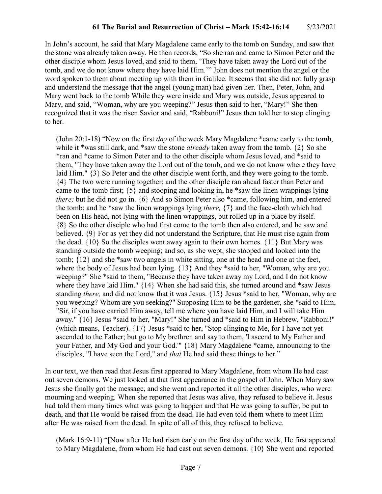In John's account, he said that Mary Magdalene came early to the tomb on Sunday, and saw that the stone was already taken away. He then records, "So she ran and came to Simon Peter and the other disciple whom Jesus loved, and said to them, 'They have taken away the Lord out of the tomb, and we do not know where they have laid Him.'" John does not mention the angel or the word spoken to them about meeting up with them in Galilee. It seems that she did not fully grasp and understand the message that the angel (young man) had given her. Then, Peter, John, and Mary went back to the tomb While they were inside and Mary was outside, Jesus appeared to Mary, and said, "Woman, why are you weeping?" Jesus then said to her, "Mary!" She then recognized that it was the risen Savior and said, "Rabboni!" Jesus then told her to stop clinging to her.

(John 20:1-18) "Now on the first *day* of the week Mary Magdalene \*came early to the tomb, while it \*was still dark, and \*saw the stone *already* taken away from the tomb. {2} So she \*ran and \*came to Simon Peter and to the other disciple whom Jesus loved, and \*said to them, "They have taken away the Lord out of the tomb, and we do not know where they have laid Him." {3} So Peter and the other disciple went forth, and they were going to the tomb. {4} The two were running together; and the other disciple ran ahead faster than Peter and came to the tomb first; {5} and stooping and looking in, he \*saw the linen wrappings lying *there;* but he did not go in. {6} And so Simon Peter also \*came, following him, and entered the tomb; and he \*saw the linen wrappings lying *there,* {7} and the face-cloth which had been on His head, not lying with the linen wrappings, but rolled up in a place by itself. {8} So the other disciple who had first come to the tomb then also entered, and he saw and believed. {9} For as yet they did not understand the Scripture, that He must rise again from the dead.  $\{10\}$  So the disciples went away again to their own homes.  $\{11\}$  But Mary was standing outside the tomb weeping; and so, as she wept, she stooped and looked into the tomb; {12} and she \*saw two angels in white sitting, one at the head and one at the feet, where the body of Jesus had been lying. {13} And they \*said to her, "Woman, why are you weeping?" She \*said to them, "Because they have taken away my Lord, and I do not know where they have laid Him." {14} When she had said this, she turned around and \*saw Jesus standing *there,* and did not know that it was Jesus. {15} Jesus \*said to her, "Woman, why are you weeping? Whom are you seeking?" Supposing Him to be the gardener, she \*said to Him, "Sir, if you have carried Him away, tell me where you have laid Him, and I will take Him away." {16} Jesus \*said to her, "Mary!" She turned and \*said to Him in Hebrew, "Rabboni!" (which means, Teacher). {17} Jesus \*said to her, "Stop clinging to Me, for I have not yet ascended to the Father; but go to My brethren and say to them, 'I ascend to My Father and your Father, and My God and your God.'" {18} Mary Magdalene \*came, announcing to the disciples, "I have seen the Lord," and *that* He had said these things to her."

In our text, we then read that Jesus first appeared to Mary Magdalene, from whom He had cast out seven demons. We just looked at that first appearance in the gospel of John. When Mary saw Jesus she finally got the message, and she went and reported it all the other disciples, who were mourning and weeping. When she reported that Jesus was alive, they refused to believe it. Jesus had told them many times what was going to happen and that He was going to suffer, be put to death, and that He would be raised from the dead. He had even told them where to meet Him after He was raised from the dead. In spite of all of this, they refused to believe.

(Mark 16:9-11) "[Now after He had risen early on the first day of the week, He first appeared to Mary Magdalene, from whom He had cast out seven demons. {10} She went and reported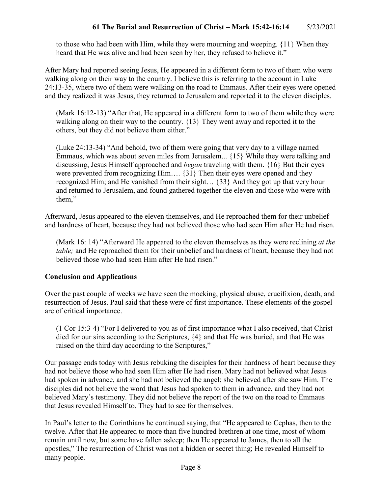to those who had been with Him, while they were mourning and weeping. {11} When they heard that He was alive and had been seen by her, they refused to believe it."

After Mary had reported seeing Jesus, He appeared in a different form to two of them who were walking along on their way to the country. I believe this is referring to the account in Luke 24:13-35, where two of them were walking on the road to Emmaus. After their eyes were opened and they realized it was Jesus, they returned to Jerusalem and reported it to the eleven disciples.

(Mark 16:12-13) "After that, He appeared in a different form to two of them while they were walking along on their way to the country. {13} They went away and reported it to the others, but they did not believe them either."

(Luke 24:13-34) "And behold, two of them were going that very day to a village named Emmaus, which was about seven miles from Jerusalem... {15} While they were talking and discussing, Jesus Himself approached and *began* traveling with them. {16} But their eyes were prevented from recognizing Him.... {31} Then their eyes were opened and they recognized Him; and He vanished from their sight… {33} And they got up that very hour and returned to Jerusalem, and found gathered together the eleven and those who were with them,"

Afterward, Jesus appeared to the eleven themselves, and He reproached them for their unbelief and hardness of heart, because they had not believed those who had seen Him after He had risen.

(Mark 16: 14) "Afterward He appeared to the eleven themselves as they were reclining *at the table;* and He reproached them for their unbelief and hardness of heart, because they had not believed those who had seen Him after He had risen."

## **Conclusion and Applications**

Over the past couple of weeks we have seen the mocking, physical abuse, crucifixion, death, and resurrection of Jesus. Paul said that these were of first importance. These elements of the gospel are of critical importance.

(1 Cor 15:3-4) "For I delivered to you as of first importance what I also received, that Christ died for our sins according to the Scriptures, {4} and that He was buried, and that He was raised on the third day according to the Scriptures,"

Our passage ends today with Jesus rebuking the disciples for their hardness of heart because they had not believe those who had seen Him after He had risen. Mary had not believed what Jesus had spoken in advance, and she had not believed the angel; she believed after she saw Him. The disciples did not believe the word that Jesus had spoken to them in advance, and they had not believed Mary's testimony. They did not believe the report of the two on the road to Emmaus that Jesus revealed Himself to. They had to see for themselves.

In Paul's letter to the Corinthians he continued saying, that "He appeared to Cephas, then to the twelve. After that He appeared to more than five hundred brethren at one time, most of whom remain until now, but some have fallen asleep; then He appeared to James, then to all the apostles," The resurrection of Christ was not a hidden or secret thing; He revealed Himself to many people.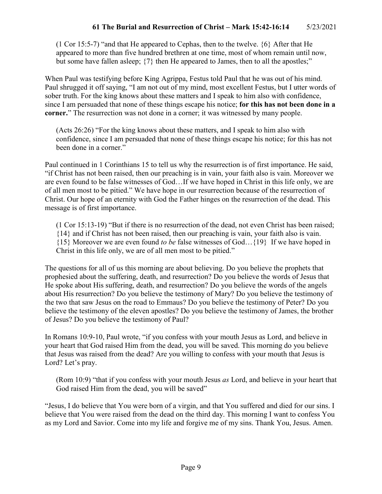(1 Cor 15:5-7) "and that He appeared to Cephas, then to the twelve.  $\{6\}$  After that He appeared to more than five hundred brethren at one time, most of whom remain until now, but some have fallen asleep;  $\{7\}$  then He appeared to James, then to all the apostles;"

When Paul was testifying before King Agrippa, Festus told Paul that he was out of his mind. Paul shrugged it off saying, "I am not out of my mind, most excellent Festus, but I utter words of sober truth. For the king knows about these matters and I speak to him also with confidence, since I am persuaded that none of these things escape his notice; **for this has not been done in a corner.**" The resurrection was not done in a corner; it was witnessed by many people.

(Acts 26:26) "For the king knows about these matters, and I speak to him also with confidence, since I am persuaded that none of these things escape his notice; for this has not been done in a corner."

Paul continued in 1 Corinthians 15 to tell us why the resurrection is of first importance. He said, "if Christ has not been raised, then our preaching is in vain, your faith also is vain. Moreover we are even found to be false witnesses of God…If we have hoped in Christ in this life only, we are of all men most to be pitied." We have hope in our resurrection because of the resurrection of Christ. Our hope of an eternity with God the Father hinges on the resurrection of the dead. This message is of first importance.

(1 Cor 15:13-19) "But if there is no resurrection of the dead, not even Christ has been raised; {14} and if Christ has not been raised, then our preaching is vain, your faith also is vain. {15} Moreover we are even found *to be* false witnesses of God…{19} If we have hoped in Christ in this life only, we are of all men most to be pitied."

The questions for all of us this morning are about believing. Do you believe the prophets that prophesied about the suffering, death, and resurrection? Do you believe the words of Jesus that He spoke about His suffering, death, and resurrection? Do you believe the words of the angels about His resurrection? Do you believe the testimony of Mary? Do you believe the testimony of the two that saw Jesus on the road to Emmaus? Do you believe the testimony of Peter? Do you believe the testimony of the eleven apostles? Do you believe the testimony of James, the brother of Jesus? Do you believe the testimony of Paul?

In Romans 10:9-10, Paul wrote, "if you confess with your mouth Jesus as Lord, and believe in your heart that God raised Him from the dead, you will be saved. This morning do you believe that Jesus was raised from the dead? Are you willing to confess with your mouth that Jesus is Lord? Let's pray.

(Rom 10:9) "that if you confess with your mouth Jesus *as* Lord, and believe in your heart that God raised Him from the dead, you will be saved"

"Jesus, I do believe that You were born of a virgin, and that You suffered and died for our sins. I believe that You were raised from the dead on the third day. This morning I want to confess You as my Lord and Savior. Come into my life and forgive me of my sins. Thank You, Jesus. Amen.